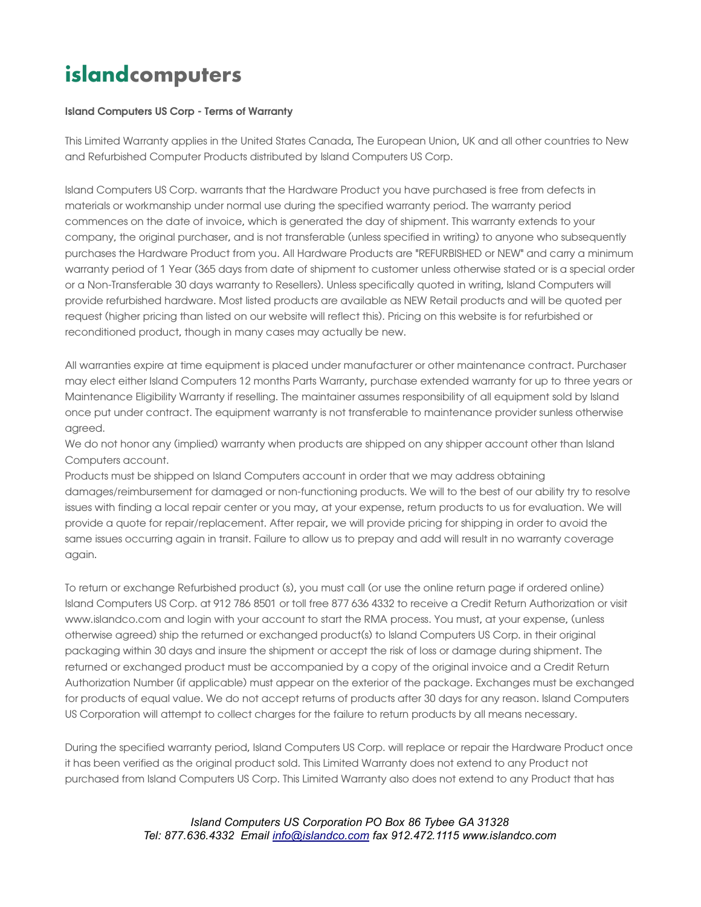## islandcomputers

## Island Computers US Corp - Terms of Warranty

This Limited Warranty applies in the United States Canada, The European Union, UK and all other countries to New and Refurbished Computer Products distributed by Island Computers US Corp.

Island Computers US Corp. warrants that the Hardware Product you have purchased is free from defects in materials or workmanship under normal use during the specified warranty period. The warranty period commences on the date of invoice, which is generated the day of shipment. This warranty extends to your company, the original purchaser, and is not transferable (unless specified in writing) to anyone who subsequently purchases the Hardware Product from you. All Hardware Products are "REFURBISHED or NEW" and carry a minimum warranty period of 1 Year (365 days from date of shipment to customer unless otherwise stated or is a special order or a Non-Transferable 30 days warranty to Resellers). Unless specifically quoted in writing, Island Computers will provide refurbished hardware. Most listed products are available as NEW Retail products and will be quoted per request (higher pricing than listed on our website will reflect this). Pricing on this website is for refurbished or reconditioned product, though in many cases may actually be new.

All warranties expire at time equipment is placed under manufacturer or other maintenance contract. Purchaser may elect either Island Computers 12 months Parts Warranty, purchase extended warranty for up to three years or Maintenance Eligibility Warranty if reselling. The maintainer assumes responsibility of all equipment sold by Island once put under contract. The equipment warranty is not transferable to maintenance provider sunless otherwise agreed.

We do not honor any (implied) warranty when products are shipped on any shipper account other than Island Computers account.

Products must be shipped on Island Computers account in order that we may address obtaining damages/reimbursement for damaged or non-functioning products. We will to the best of our ability try to resolve issues with finding a local repair center or you may, at your expense, return products to us for evaluation. We will provide a quote for repair/replacement. After repair, we will provide pricing for shipping in order to avoid the same issues occurring again in transit. Failure to allow us to prepay and add will result in no warranty coverage again.

To return or exchange Refurbished product (s), you must call (or use the online return page if ordered online) Island Computers US Corp. at 912 786 8501 or toll free 877 636 4332 to receive a Credit Return Authorization or visit www.islandco.com and login with your account to start the RMA process. You must, at your expense, (unless otherwise agreed) ship the returned or exchanged product(s) to Island Computers US Corp. in their original packaging within 30 days and insure the shipment or accept the risk of loss or damage during shipment. The returned or exchanged product must be accompanied by a copy of the original invoice and a Credit Return Authorization Number (if applicable) must appear on the exterior of the package. Exchanges must be exchanged for products of equal value. We do not accept returns of products after 30 days for any reason. Island Computers US Corporation will attempt to collect charges for the failure to return products by all means necessary.

During the specified warranty period, Island Computers US Corp. will replace or repair the Hardware Product once it has been verified as the original product sold. This Limited Warranty does not extend to any Product not purchased from Island Computers US Corp. This Limited Warranty also does not extend to any Product that has

> Island Computers US Corporation PO Box 86 Tybee GA 31328 Tel: 877.636.4332 Email info@islandco.com fax 912.472.1115 www.islandco.com